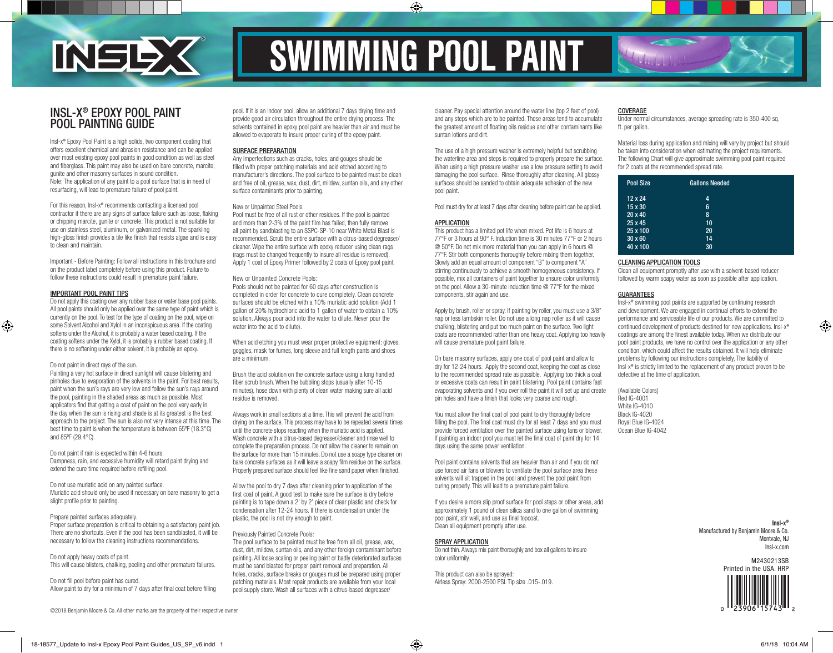

# **SWIMMING POOL PAINT**

◈

# INSL-X® EPOXY POOL PAINT POOL PAINTING GUIDE

Insl-x® Epoxy Pool Paint is a high solids, two component coating that offers excellent chemical and abrasion resistance and can be applied over most existing epoxy pool paints in good condition as well as steel and fiberglass. This paint may also be used on bare concrete, marcite, gunite and other masonry surfaces in sound condition. Note: The application of any paint to a pool surface that is in need of resurfacing, will lead to premature failure of pool paint.

For this reason, Insl-x® recommends contacting a licensed pool contractor if there are any signs of surface failure such as loose, flaking or chipping marcite, gunite or concrete. This product is not suitable for use on stainless steel, aluminum, or galvanized metal. The sparkling high-gloss finish provides a tile like finish that resists algae and is easy to clean and maintain.

Important - Before Painting: Follow all instructions in this brochure and on the product label completely before using this product. Failure to follow these instructions could result in premature paint failure.

# IMPORTANT POOL PAINT TIPS

⊕

Do not apply this coating over any rubber base or water base pool paints. All pool paints should only be applied over the same type of paint which is currently on the pool. To test for the type of coating on the pool, wipe on some Solvent Alcohol and Xylol in an inconspicuous area. If the coating softens under the Alcohol, it is probably a water based coating. If the coating softens under the Xylol, it is probably a rubber based coating. If there is no softening under either solvent, it is probably an epoxy.

#### Do not paint in direct rays of the sun.

Painting a very hot surface in direct sunlight will cause blistering and pinholes due to evaporation of the solvents in the paint. For best results, paint when the sun's rays are very low and follow the sun's rays around the pool, painting in the shaded areas as much as possible. Most applicators find that getting a coat of paint on the pool very early in the day when the sun is rising and shade is at its greatest is the best approach to the project. The sun is also not very intense at this time. The best time to paint is when the temperature is between 65ºF (18.3°C) and 85ºF (29.4°C).

Do not paint if rain is expected within 4-6 hours. Dampness, rain, and excessive humidity will retard paint drying and extend the cure time required before refilling pool.

Do not use muriatic acid on any painted surface. Muriatic acid should only be used if necessary on bare masonry to get a slight profile prior to painting.

Prepare painted surfaces adequately.

Proper surface preparation is critical to obtaining a satisfactory paint job. There are no shortcuts. Even if the pool has been sandblasted, it will be necessary to follow the cleaning instructions recommendations.

Do not apply heavy coats of paint. This will cause blisters, chalking, peeling and other premature failures.

Do not fill pool before paint has cured. Allow paint to dry for a minimum of 7 days after final coat before filling pool. If it is an indoor pool, allow an additional 7 days drying time and provide good air circulation throughout the entire drying process. The solvents contained in epoxy pool paint are heavier than air and must be allowed to evaporate to insure proper curing of the epoxy paint.

# SURFACE PREPARATION

Any imperfections such as cracks, holes, and gouges should be filled with proper patching materials and acid etched according to manufacturer's directions. The pool surface to be painted must be clean and free of oil, grease, wax, dust, dirt, mildew, suntan oils, and any other surface contaminants prior to painting.

#### New or Unpainted Steel Pools:

Pool must be free of all rust or other residues. If the pool is painted and more than 2-3% of the paint film has failed, then fully remove all paint by sandblasting to an SSPC-SP-10 near White Metal Blast is recommended. Scrub the entire surface with a citrus-based degreaser/ cleaner. Wipe the entire surface with epoxy reducer using clean rags (rags must be changed frequently to insure all residue is removed). Apply 1 coat of Epoxy Primer followed by 2 coats of Epoxy pool paint.

### New or Unpainted Concrete Pools:

Pools should not be painted for 60 days after construction is completed in order for concrete to cure completely. Clean concrete surfaces should be etched with a 10% muriatic acid solution (Add 1 gallon of 20% hydrochloric acid to 1 gallon of water to obtain a 10% solution. Always pour acid into the water to dilute. Never pour the water into the acid to dilute).

When acid etching you must wear proper protective equipment: gloves, goggles, mask for fumes, long sleeve and full length pants and shoes are a minimum.

Brush the acid solution on the concrete surface using a long handled fiber scrub brush. When the bubbling stops (usually after 10-15 minutes), hose down with plenty of clean water making sure all acid residue is removed.

Always work in small sections at a time. This will prevent the acid from drying on the surface. This process may have to be repeated several times until the concrete stops reacting when the muriatic acid is applied. Wash concrete with a citrus-based degreaser/cleaner and rinse well to complete the preparation process. Do not allow the cleaner to remain on the surface for more than 15 minutes. Do not use a soapy type cleaner on bare concrete surfaces as it will leave a soapy film residue on the surface. Properly prepared surface should feel like fine sand paper when finished.

Allow the pool to dry 7 days after cleaning prior to application of the first coat of paint. A good test to make sure the surface is dry before painting is to tape down a 2' by 2' piece of clear plastic and check for condensation after 12-24 hours. If there is condensation under the plastic, the pool is not dry enough to paint.

#### Previously Painted Concrete Pools:

The pool surface to be painted must be free from all oil, grease, wax, dust, dirt, mildew, suntan oils, and any other foreign contaminant before painting. All loose scaling or peeling paint or badly deteriorated surfaces must be sand blasted for proper paint removal and preparation. All holes, cracks, surface breaks or gouges must be prepared using proper patching materials. Most repair products are available from your local pool supply store. Wash all surfaces with a citrus-based degreaser/

cleaner. Pay special attention around the water line (top 2 feet of pool) and any steps which are to be painted. These areas tend to accumulate the greatest amount of floating oils residue and other contaminants like suntan lotions and dirt.

The use of a high pressure washer is extremely helpful but scrubbing the waterline area and steps is required to properly prepare the surface. When using a high pressure washer use a low pressure setting to avoid damaging the pool surface. Rinse thoroughly after cleaning. All glossy surfaces should be sanded to obtain adequate adhesion of the new pool paint.

Pool must dry for at least 7 days after cleaning before paint can be applied.

### APPLICATION

This product has a limited pot life when mixed. Pot life is 6 hours at 77°F or 3 hours at 90° F. Induction time is 30 minutes 77°F or 2 hours @ 50°F. Do not mix more material than you can apply in 6 hours @ 77°F. Stir both components thoroughly before mixing them together. Slowly add an equal amount of component "B" to component "A" stirring continuously to achieve a smooth homogeneous consistency. If possible, mix all containers of paint together to ensure color uniformity on the pool. Allow a 30-minute induction time @ 77°F for the mixed components, stir again and use.

Apply by brush, roller or spray. If painting by roller, you must use a 3/8" nap or less lambskin roller. Do not use a long nap roller as it will cause chalking, blistering and put too much paint on the surface. Two light coats are recommended rather than one heavy coat. Applying too heavily will cause premature pool paint failure.

On bare masonry surfaces, apply one coat of pool paint and allow to dry for 12-24 hours. Apply the second coat, keeping the coat as close to the recommended spread rate as possible. Applying too thick a coat or excessive coats can result in paint blistering. Pool paint contains fast evaporating solvents and if you over roll the paint it will set up and create pin holes and have a finish that looks very coarse and rough.

You must allow the final coat of pool paint to dry thoroughly before filling the pool. The final coat must dry for at least 7 days and you must provide forced ventilation over the painted surface using fans or blower. If painting an indoor pool you must let the final coat of paint dry for 14 days using the same power ventilation.

Pool paint contains solvents that are heavier than air and if you do not use forced air fans or blowers to ventilate the pool surface area these solvents will sit trapped in the pool and prevent the pool paint from curing properly. This will lead to a premature paint failure.

If you desire a more slip proof surface for pool steps or other areas, add approximately 1 pound of clean silica sand to one gallon of swimming pool paint, stir well, and use as final topcoat. Clean all equipment promptly after use.

#### SPRAY APPLICATION

Do not thin. Always mix paint thoroughly and box all gallons to insure color uniformity.

This product can also be sprayed: Airless Spray: 2000-2500 PSI. Tip size .015-.019.

# COVERAGE

Under normal circumstances, average spreading rate is 350-400 sq. ft. per gallon.

Material loss during application and mixing will vary by project but should be taken into consideration when estimating the project requirements. The following Chart will give approximate swimming pool paint required for 2 coats at the recommended spread rate.

| <b>Pool Size</b> | <b>Gallons Needed</b> |  |
|------------------|-----------------------|--|
| 12 x 24          | 4                     |  |
| 15 x 30          | 6                     |  |
| $20 \times 40$   | 8                     |  |
| 25 x 45          | 10                    |  |
| 25 x 100         | 20                    |  |
| $30 \times 60$   | 14                    |  |
| 40 x 100         | 30                    |  |

# CLEANING APPLICATION TOOLS

Clean all equipment promptly after use with a solvent-based reducer followed by warm soapy water as soon as possible after application.

#### **GUARANTEES**

Insl-x® swimming pool paints are supported by continuing research and development. We are engaged in continual efforts to extend the performance and serviceable life of our products. We are committed to continued development of products destined for new applications. Insl-x® coatings are among the finest available today. When we distribute our pool paint products, we have no control over the application or any other condition, which could affect the results obtained. It will help eliminate problems by following our instructions completely, The liability of Insl-x® is strictly limited to the replacement of any product proven to be defective at the time of application.

{Available Colors} Red IG-4001 White IG-4010 Black IG-4020 Royal Blue IG-4024 Ocean Blue IG-4042

> **Insl-x®** Manufactured by Benjamin Moore & Co. Montvale, NJ Insl-x.com

> > M2430213SB Printed in the USA. HRP



©2018 Benjamin Moore & Co. All other marks are the property of their respective owner.

⊕